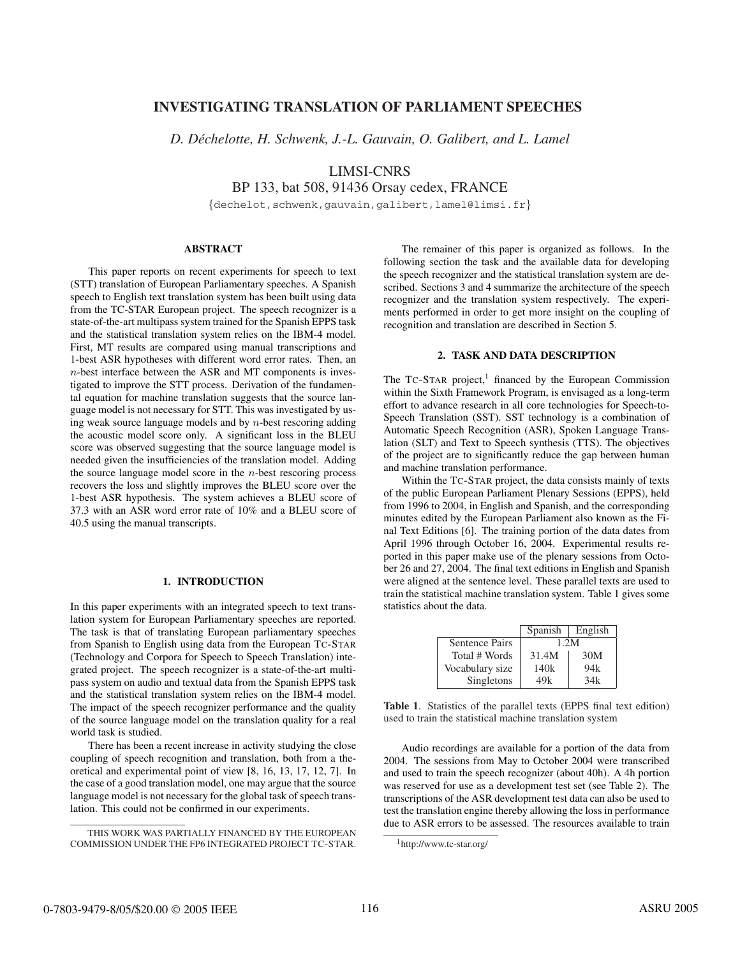# **INVESTIGATING TRANSLATION OF PARLIAMENT SPEECHES**

*D. Dechelotte, H. Schwenk, J.-L. Gauvain, O. Galibert, and L. Lamel ´*

LIMSI-CNRS

BP 133, bat 508, 91436 Orsay cedex, FRANCE

{dechelot,schwenk,gauvain,galibert,lamel@limsi.fr}

# **ABSTRACT**

This paper reports on recent experiments for speech to text (STT) translation of European Parliamentary speeches. A Spanish speech to English text translation system has been built using data from the TC-STAR European project. The speech recognizer is a state-of-the-art multipass system trained for the Spanish EPPS task and the statistical translation system relies on the IBM-4 model. First, MT results are compared using manual transcriptions and 1-best ASR hypotheses with different word error rates. Then, an n-best interface between the ASR and MT components is investigated to improve the STT process. Derivation of the fundamental equation for machine translation suggests that the source language model is not necessary for STT. This was investigated by using weak source language models and by n-best rescoring adding the acoustic model score only. A significant loss in the BLEU score was observed suggesting that the source language model is needed given the insufficiencies of the translation model. Adding the source language model score in the  $n$ -best rescoring process recovers the loss and slightly improves the BLEU score over the 1-best ASR hypothesis. The system achieves a BLEU score of 37.3 with an ASR word error rate of 10% and a BLEU score of 40.5 using the manual transcripts.

# **1. INTRODUCTION**

In this paper experiments with an integrated speech to text translation system for European Parliamentary speeches are reported. The task is that of translating European parliamentary speeches from Spanish to English using data from the European TC-STAR (Technology and Corpora for Speech to Speech Translation) integrated project. The speech recognizer is a state-of-the-art multipass system on audio and textual data from the Spanish EPPS task and the statistical translation system relies on the IBM-4 model. The impact of the speech recognizer performance and the quality of the source language model on the translation quality for a real world task is studied.

There has been a recent increase in activity studying the close coupling of speech recognition and translation, both from a theoretical and experimental point of view [8, 16, 13, 17, 12, 7]. In the case of a good translation model, one may argue that the source language model is not necessary for the global task of speech translation. This could not be confirmed in our experiments.

The remainer of this paper is organized as follows. In the following section the task and the available data for developing the speech recognizer and the statistical translation system are described. Sections 3 and 4 summarize the architecture of the speech recognizer and the translation system respectively. The experiments performed in order to get more insight on the coupling of recognition and translation are described in Section 5.

# **2. TASK AND DATA DESCRIPTION**

The  $T_c$ -STAR project,<sup>1</sup> financed by the European Commission within the Sixth Framework Program, is envisaged as a long-term effort to advance research in all core technologies for Speech-to-Speech Translation (SST). SST technology is a combination of Automatic Speech Recognition (ASR), Spoken Language Translation (SLT) and Text to Speech synthesis (TTS). The objectives of the project are to significantly reduce the gap between human and machine translation performance.

Within the TC-STAR project, the data consists mainly of texts of the public European Parliament Plenary Sessions (EPPS), held from 1996 to 2004, in English and Spanish, and the corresponding minutes edited by the European Parliament also known as the Final Text Editions [6]. The training portion of the data dates from April 1996 through October 16, 2004. Experimental results reported in this paper make use of the plenary sessions from October 26 and 27, 2004. The final text editions in English and Spanish were aligned at the sentence level. These parallel texts are used to train the statistical machine translation system. Table 1 gives some statistics about the data.

|                       | Spanish | English |
|-----------------------|---------|---------|
| <b>Sentence Pairs</b> | 1.2M    |         |
| Total # Words         | 31.4M   | 30M     |
| Vocabulary size       | 140k    | 94k     |
| Singletons            | 49k     | 34k     |

**Table 1**. Statistics of the parallel texts (EPPS final text edition) used to train the statistical machine translation system

Audio recordings are available for a portion of the data from 2004. The sessions from May to October 2004 were transcribed and used to train the speech recognizer (about 40h). A 4h portion was reserved for use as a development test set (see Table 2). The transcriptions of the ASR development test data can also be used to test the translation engine thereby allowing the loss in performance due to ASR errors to be assessed. The resources available to train

THIS WORK WAS PARTIALLY FINANCED BY THE EUROPEAN COMMISSION UNDER THE FP6 INTEGRATED PROJECT TC-STAR.

<sup>1</sup>http://www.tc-star.org/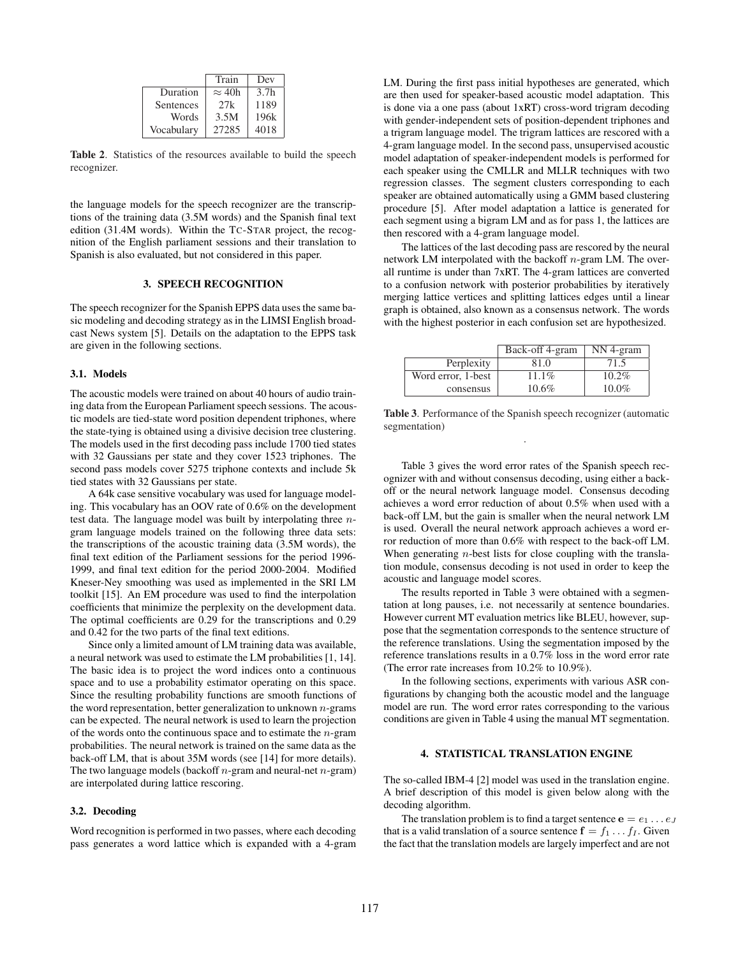|            | Train         | Dev              |
|------------|---------------|------------------|
| Duration   | $\approx$ 40h | 3.7 <sub>h</sub> |
| Sentences  | 2.7k          | 1189             |
| Words      | 3.5M          | 196k             |
| Vocabulary | 27285         | 4018             |

**Table 2**. Statistics of the resources available to build the speech recognizer.

the language models for the speech recognizer are the transcriptions of the training data (3.5M words) and the Spanish final text edition (31.4M words). Within the TC-STAR project, the recognition of the English parliament sessions and their translation to Spanish is also evaluated, but not considered in this paper.

# **3. SPEECH RECOGNITION**

The speech recognizer for the Spanish EPPS data uses the same basic modeling and decoding strategy as in the LIMSI English broadcast News system [5]. Details on the adaptation to the EPPS task are given in the following sections.

# **3.1. Models**

The acoustic models were trained on about 40 hours of audio training data from the European Parliament speech sessions. The acoustic models are tied-state word position dependent triphones, where the state-tying is obtained using a divisive decision tree clustering. The models used in the first decoding pass include 1700 tied states with 32 Gaussians per state and they cover 1523 triphones. The second pass models cover 5275 triphone contexts and include 5k tied states with 32 Gaussians per state.

A 64k case sensitive vocabulary was used for language modeling. This vocabulary has an OOV rate of 0.6% on the development test data. The language model was built by interpolating three ngram language models trained on the following three data sets: the transcriptions of the acoustic training data (3.5M words), the final text edition of the Parliament sessions for the period 1996- 1999, and final text edition for the period 2000-2004. Modified Kneser-Ney smoothing was used as implemented in the SRI LM toolkit [15]. An EM procedure was used to find the interpolation coefficients that minimize the perplexity on the development data. The optimal coefficients are 0.29 for the transcriptions and 0.29 and 0.42 for the two parts of the final text editions.

Since only a limited amount of LM training data was available, a neural network was used to estimate the LM probabilities [1, 14]. The basic idea is to project the word indices onto a continuous space and to use a probability estimator operating on this space. Since the resulting probability functions are smooth functions of the word representation, better generalization to unknown  $n$ -grams can be expected. The neural network is used to learn the projection of the words onto the continuous space and to estimate the  $n$ -gram probabilities. The neural network is trained on the same data as the back-off LM, that is about 35M words (see [14] for more details). The two language models (backoff  $n$ -gram and neural-net  $n$ -gram) are interpolated during lattice rescoring.

### **3.2. Decoding**

Word recognition is performed in two passes, where each decoding pass generates a word lattice which is expanded with a 4-gram LM. During the first pass initial hypotheses are generated, which are then used for speaker-based acoustic model adaptation. This is done via a one pass (about 1xRT) cross-word trigram decoding with gender-independent sets of position-dependent triphones and a trigram language model. The trigram lattices are rescored with a 4-gram language model. In the second pass, unsupervised acoustic model adaptation of speaker-independent models is performed for each speaker using the CMLLR and MLLR techniques with two regression classes. The segment clusters corresponding to each speaker are obtained automatically using a GMM based clustering procedure [5]. After model adaptation a lattice is generated for each segment using a bigram LM and as for pass 1, the lattices are then rescored with a 4-gram language model.

The lattices of the last decoding pass are rescored by the neural network LM interpolated with the backoff  $n$ -gram LM. The overall runtime is under than 7xRT. The 4-gram lattices are converted to a confusion network with posterior probabilities by iteratively merging lattice vertices and splitting lattices edges until a linear graph is obtained, also known as a consensus network. The words with the highest posterior in each confusion set are hypothesized.

|                    | Back-off 4-gram | NN 4-gram |
|--------------------|-----------------|-----------|
| Perplexity         | 81.0            | 71.5      |
| Word error, 1-best | $11.1\%$        | $10.2\%$  |
| consensus          | 10.6%           | $10.0\%$  |

**Table 3**. Performance of the Spanish speech recognizer (automatic segmentation) .

Table 3 gives the word error rates of the Spanish speech recognizer with and without consensus decoding, using either a backoff or the neural network language model. Consensus decoding achieves a word error reduction of about 0.5% when used with a back-off LM, but the gain is smaller when the neural network LM is used. Overall the neural network approach achieves a word error reduction of more than 0.6% with respect to the back-off LM. When generating  $n$ -best lists for close coupling with the translation module, consensus decoding is not used in order to keep the acoustic and language model scores.

The results reported in Table 3 were obtained with a segmentation at long pauses, i.e. not necessarily at sentence boundaries. However current MT evaluation metrics like BLEU, however, suppose that the segmentation corresponds to the sentence structure of the reference translations. Using the segmentation imposed by the reference translations results in a 0.7% loss in the word error rate (The error rate increases from 10.2% to 10.9%).

In the following sections, experiments with various ASR configurations by changing both the acoustic model and the language model are run. The word error rates corresponding to the various conditions are given in Table 4 using the manual MT segmentation.

### **4. STATISTICAL TRANSLATION ENGINE**

The so-called IBM-4 [2] model was used in the translation engine. A brief description of this model is given below along with the decoding algorithm.

The translation problem is to find a target sentence  $e = e_1 \dots e_J$ that is a valid translation of a source sentence  $f = f_1 \dots f_I$ . Given the fact that the translation models are largely imperfect and are not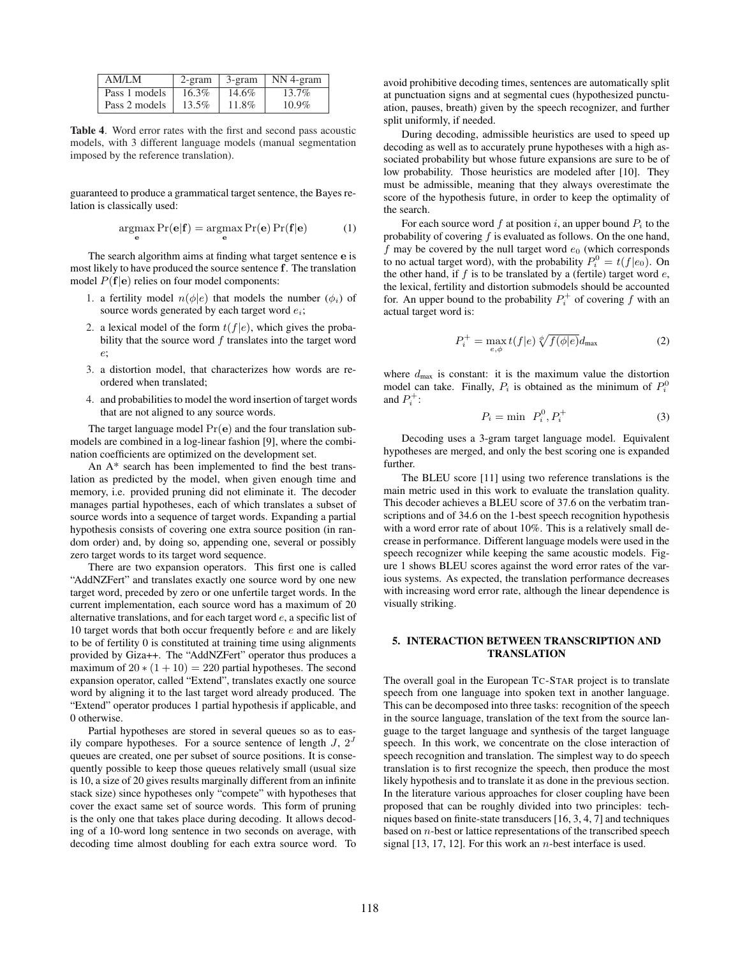| AM/LM         | $2$ -gram | 3-gram | $\mathsf{NN}$ 4-gram |
|---------------|-----------|--------|----------------------|
| Pass 1 models | $16.3\%$  | 14.6%  | 13.7%                |
| Pass 2 models | 13.5%     | 11.8%  | $10.9\%$             |

**Table 4**. Word error rates with the first and second pass acoustic models, with 3 different language models (manual segmentation imposed by the reference translation).

guaranteed to produce a grammatical target sentence, the Bayes relation is classically used:

$$
\underset{\mathbf{e}}{\operatorname{argmax}} \Pr(\mathbf{e}|\mathbf{f}) = \underset{\mathbf{e}}{\operatorname{argmax}} \Pr(\mathbf{e}) \Pr(\mathbf{f}|\mathbf{e}) \tag{1}
$$

The search algorithm aims at finding what target sentence **e** is most likely to have produced the source sentence **f**. The translation model  $P(f|e)$  relies on four model components:

- 1. a fertility model  $n(\phi|e)$  that models the number  $(\phi_i)$  of source words generated by each target word  $e_i$ ;
- 2. a lexical model of the form  $t(f|e)$ , which gives the probability that the source word  $f$  translates into the target word e;
- 3. a distortion model, that characterizes how words are reordered when translated;
- 4. and probabilities to model the word insertion of target words that are not aligned to any source words.

The target language model  $Pr(e)$  and the four translation submodels are combined in a log-linear fashion [9], where the combination coefficients are optimized on the development set.

An A\* search has been implemented to find the best translation as predicted by the model, when given enough time and memory, i.e. provided pruning did not eliminate it. The decoder manages partial hypotheses, each of which translates a subset of source words into a sequence of target words. Expanding a partial hypothesis consists of covering one extra source position (in random order) and, by doing so, appending one, several or possibly zero target words to its target word sequence.

There are two expansion operators. This first one is called "AddNZFert" and translates exactly one source word by one new target word, preceded by zero or one unfertile target words. In the current implementation, each source word has a maximum of 20 alternative translations, and for each target word e, a specific list of 10 target words that both occur frequently before e and are likely to be of fertility 0 is constituted at training time using alignments provided by Giza++. The "AddNZFert" operator thus produces a maximum of  $20 * (1 + 10) = 220$  partial hypotheses. The second expansion operator, called "Extend", translates exactly one source word by aligning it to the last target word already produced. The "Extend" operator produces 1 partial hypothesis if applicable, and 0 otherwise.

Partial hypotheses are stored in several queues so as to easily compare hypotheses. For a source sentence of length  $J$ ,  $2^J$ queues are created, one per subset of source positions. It is consequently possible to keep those queues relatively small (usual size is 10, a size of 20 gives results marginally different from an infinite stack size) since hypotheses only "compete" with hypotheses that cover the exact same set of source words. This form of pruning is the only one that takes place during decoding. It allows decoding of a 10-word long sentence in two seconds on average, with decoding time almost doubling for each extra source word. To avoid prohibitive decoding times, sentences are automatically split at punctuation signs and at segmental cues (hypothesized punctuation, pauses, breath) given by the speech recognizer, and further split uniformly, if needed.

During decoding, admissible heuristics are used to speed up decoding as well as to accurately prune hypotheses with a high associated probability but whose future expansions are sure to be of low probability. Those heuristics are modeled after [10]. They must be admissible, meaning that they always overestimate the score of the hypothesis future, in order to keep the optimality of the search.

For each source word f at position i, an upper bound  $P_i$  to the probability of covering  $f$  is evaluated as follows. On the one hand, f may be covered by the null target word  $e_0$  (which corresponds to no actual target word), with the probability  $P_i^0 = t(f|e_0)$ . On the other hand if f is to be translated by a (fertile) target word e. the other hand, if  $f$  is to be translated by a (fertile) target word  $e$ , the lexical, fertility and distortion submodels should be accounted for. An upper bound to the probability  $P_i^+$  of covering f with an actual target word is:

$$
P_i^+ = \max_{e,\phi} t(f|e) \sqrt[\phi]{f(\phi|e)} d_{\text{max}} \tag{2}
$$

where  $d_{\text{max}}$  is constant: it is the maximum value the distortion model can take. Finally,  $P_i$  is obtained as the minimum of  $P_i^0$ and  $P_i^+$ :

$$
P_i = \min \ P_i^0, P_i^+ \tag{3}
$$

Decoding uses a 3-gram target language model. Equivalent hypotheses are merged, and only the best scoring one is expanded further.

The BLEU score [11] using two reference translations is the main metric used in this work to evaluate the translation quality. This decoder achieves a BLEU score of 37.6 on the verbatim transcriptions and of 34.6 on the 1-best speech recognition hypothesis with a word error rate of about 10%. This is a relatively small decrease in performance. Different language models were used in the speech recognizer while keeping the same acoustic models. Figure 1 shows BLEU scores against the word error rates of the various systems. As expected, the translation performance decreases with increasing word error rate, although the linear dependence is visually striking.

# **5. INTERACTION BETWEEN TRANSCRIPTION AND TRANSLATION**

The overall goal in the European TC-STAR project is to translate speech from one language into spoken text in another language. This can be decomposed into three tasks: recognition of the speech in the source language, translation of the text from the source language to the target language and synthesis of the target language speech. In this work, we concentrate on the close interaction of speech recognition and translation. The simplest way to do speech translation is to first recognize the speech, then produce the most likely hypothesis and to translate it as done in the previous section. In the literature various approaches for closer coupling have been proposed that can be roughly divided into two principles: techniques based on finite-state transducers [16, 3, 4, 7] and techniques based on n-best or lattice representations of the transcribed speech signal  $[13, 17, 12]$ . For this work an *n*-best interface is used.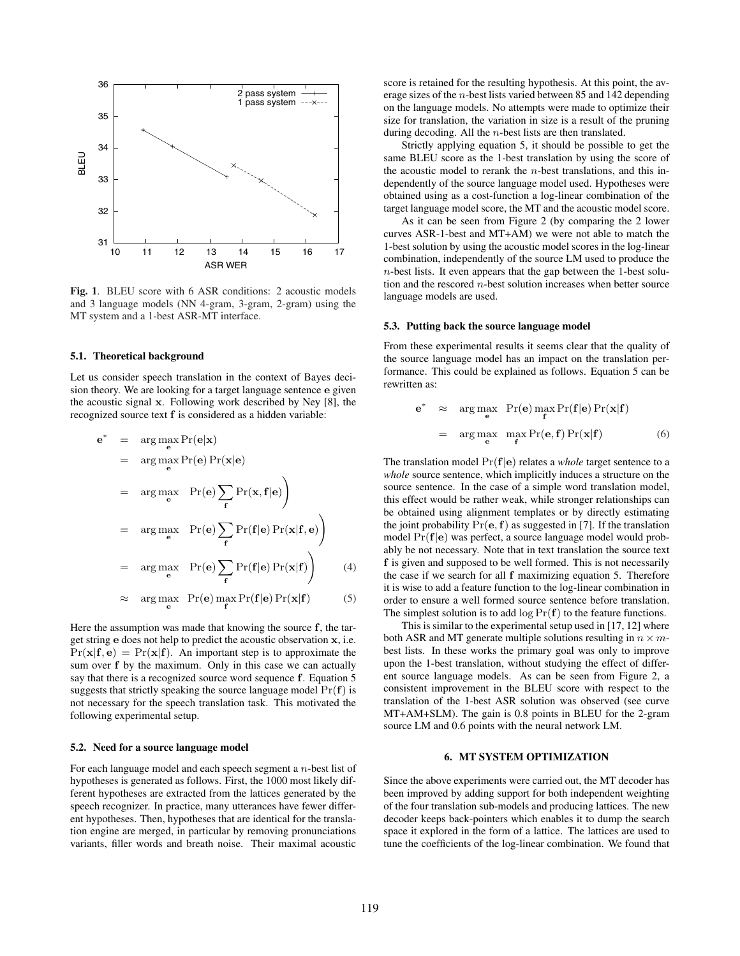

**Fig. 1**. BLEU score with 6 ASR conditions: 2 acoustic models and 3 language models (NN 4-gram, 3-gram, 2-gram) using the MT system and a 1-best ASR-MT interface.

### **5.1. Theoretical background**

Let us consider speech translation in the context of Bayes decision theory. We are looking for a target language sentence **e** given the acoustic signal **x**. Following work described by Ney [8], the recognized source text **f** is considered as a hidden variable:

$$
e^* = \arg \max_{e} Pr(e|x)
$$
  
\n
$$
= \arg \max_{e} Pr(e) Pr(x|e)
$$
  
\n
$$
= \arg \max_{e} Pr(e) \sum_{f} Pr(x, f|e) \Big)
$$
  
\n
$$
= \arg \max_{e} Pr(e) \sum_{f} Pr(f|e) Pr(x|f, e) \Big)
$$
  
\n
$$
= \arg \max_{e} Pr(e) \sum_{f} Pr(f|e) Pr(x|f) \Big) (4)
$$
  
\n
$$
\approx \arg \max_{e} Pr(e) \max_{f} Pr(f|e) Pr(x|f) \Big) (5)
$$

$$
\approx \underset{\mathbf{e}}{\arg\max} \ \Pr(\mathbf{e}) \underset{\mathbf{f}}{\max} \Pr(\mathbf{f}|\mathbf{e}) \Pr(\mathbf{x}|\mathbf{f}) \tag{5}
$$

Here the assumption was made that knowing the source **f**, the target string **e** does not help to predict the acoustic observation **x**, i.e.  $Pr(\mathbf{x}|\mathbf{f}, \mathbf{e}) = Pr(\mathbf{x}|\mathbf{f})$ . An important step is to approximate the sum over **f** by the maximum. Only in this case we can actually say that there is a recognized source word sequence **f**. Equation 5 suggests that strictly speaking the source language model  $Pr(f)$  is not necessary for the speech translation task. This motivated the following experimental setup.

#### **5.2. Need for a source language model**

For each language model and each speech segment a n-best list of hypotheses is generated as follows. First, the 1000 most likely different hypotheses are extracted from the lattices generated by the speech recognizer. In practice, many utterances have fewer different hypotheses. Then, hypotheses that are identical for the translation engine are merged, in particular by removing pronunciations variants, filler words and breath noise. Their maximal acoustic score is retained for the resulting hypothesis. At this point, the average sizes of the n-best lists varied between 85 and 142 depending on the language models. No attempts were made to optimize their size for translation, the variation in size is a result of the pruning during decoding. All the n-best lists are then translated.

Strictly applying equation 5, it should be possible to get the same BLEU score as the 1-best translation by using the score of the acoustic model to rerank the  $n$ -best translations, and this independently of the source language model used. Hypotheses were obtained using as a cost-function a log-linear combination of the target language model score, the MT and the acoustic model score.

As it can be seen from Figure 2 (by comparing the 2 lower curves ASR-1-best and MT+AM) we were not able to match the 1-best solution by using the acoustic model scores in the log-linear combination, independently of the source LM used to produce the n-best lists. It even appears that the gap between the 1-best solution and the rescored  $n$ -best solution increases when better source language models are used.

### **5.3. Putting back the source language model**

From these experimental results it seems clear that the quality of the source language model has an impact on the translation performance. This could be explained as follows. Equation 5 can be rewritten as:

$$
\mathbf{e}^* \approx \arg \max_{\mathbf{e}} \Pr(\mathbf{e}) \max_{\mathbf{f}} \Pr(\mathbf{f}|\mathbf{e}) \Pr(\mathbf{x}|\mathbf{f})
$$
  
= 
$$
\arg \max_{\mathbf{e}} \max_{\mathbf{f}} \Pr(\mathbf{e}, \mathbf{f}) \Pr(\mathbf{x}|\mathbf{f})
$$
 (6)

The translation model Pr(**f**|**e**) relates a *whole* target sentence to a *whole* source sentence, which implicitly induces a structure on the source sentence. In the case of a simple word translation model, this effect would be rather weak, while stronger relationships can be obtained using alignment templates or by directly estimating the joint probability  $Pr(e, f)$  as suggested in [7]. If the translation model Pr(**f**|**e**) was perfect, a source language model would probably be not necessary. Note that in text translation the source text **f** is given and supposed to be well formed. This is not necessarily the case if we search for all **f** maximizing equation 5. Therefore it is wise to add a feature function to the log-linear combination in order to ensure a well formed source sentence before translation. The simplest solution is to add  $\log \Pr(f)$  to the feature functions.

This is similar to the experimental setup used in [17, 12] where both ASR and MT generate multiple solutions resulting in  $n \times m$ best lists. In these works the primary goal was only to improve upon the 1-best translation, without studying the effect of different source language models. As can be seen from Figure 2, a consistent improvement in the BLEU score with respect to the translation of the 1-best ASR solution was observed (see curve MT+AM+SLM). The gain is 0.8 points in BLEU for the 2-gram source LM and 0.6 points with the neural network LM.

### **6. MT SYSTEM OPTIMIZATION**

Since the above experiments were carried out, the MT decoder has been improved by adding support for both independent weighting of the four translation sub-models and producing lattices. The new decoder keeps back-pointers which enables it to dump the search space it explored in the form of a lattice. The lattices are used to tune the coefficients of the log-linear combination. We found that